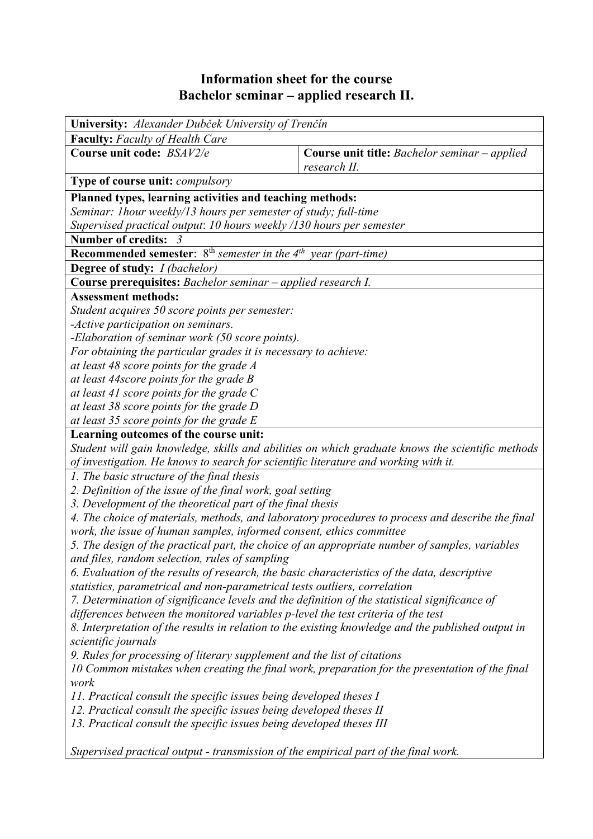# **Information sheet for the course Bachelor seminar – applied research II.**

| University: Alexander Dubček University of Trenčín                                                                                                                     |                                                                                                  |  |  |  |  |  |
|------------------------------------------------------------------------------------------------------------------------------------------------------------------------|--------------------------------------------------------------------------------------------------|--|--|--|--|--|
| <b>Faculty:</b> Faculty of Health Care                                                                                                                                 |                                                                                                  |  |  |  |  |  |
| Course unit code: BSAV2/e                                                                                                                                              | <b>Course unit title:</b> Bachelor seminar – applied<br>research II.                             |  |  |  |  |  |
| Type of course unit: <i>compulsory</i>                                                                                                                                 |                                                                                                  |  |  |  |  |  |
| Planned types, learning activities and teaching methods:                                                                                                               |                                                                                                  |  |  |  |  |  |
| Seminar: 1hour weekly/13 hours per semester of study; full-time                                                                                                        |                                                                                                  |  |  |  |  |  |
| Supervised practical output: 10 hours weekly /130 hours per semester                                                                                                   |                                                                                                  |  |  |  |  |  |
| <b>Number of credits:</b><br>$\overline{3}$                                                                                                                            |                                                                                                  |  |  |  |  |  |
| <b>Recommended semester</b> : $8^{th}$ semester in the $4^{th}$ year (part-time)                                                                                       |                                                                                                  |  |  |  |  |  |
| <b>Degree of study:</b> <i>I (bachelor)</i>                                                                                                                            |                                                                                                  |  |  |  |  |  |
| Course prerequisites: Bachelor seminar - applied research I.                                                                                                           |                                                                                                  |  |  |  |  |  |
| <b>Assessment methods:</b>                                                                                                                                             |                                                                                                  |  |  |  |  |  |
| Student acquires 50 score points per semester:                                                                                                                         |                                                                                                  |  |  |  |  |  |
| -Active participation on seminars.                                                                                                                                     |                                                                                                  |  |  |  |  |  |
| -Elaboration of seminar work (50 score points).                                                                                                                        |                                                                                                  |  |  |  |  |  |
| For obtaining the particular grades it is necessary to achieve:                                                                                                        |                                                                                                  |  |  |  |  |  |
| at least 48 score points for the grade A                                                                                                                               |                                                                                                  |  |  |  |  |  |
| at least 44score points for the grade B                                                                                                                                |                                                                                                  |  |  |  |  |  |
| at least 41 score points for the grade $C$                                                                                                                             |                                                                                                  |  |  |  |  |  |
| at least 38 score points for the grade D                                                                                                                               |                                                                                                  |  |  |  |  |  |
| at least 35 score points for the grade $E$                                                                                                                             |                                                                                                  |  |  |  |  |  |
| Learning outcomes of the course unit:                                                                                                                                  |                                                                                                  |  |  |  |  |  |
|                                                                                                                                                                        | Student will gain knowledge, skills and abilities on which graduate knows the scientific methods |  |  |  |  |  |
| of investigation. He knows to search for scientific literature and working with it.                                                                                    |                                                                                                  |  |  |  |  |  |
| 1. The basic structure of the final thesis                                                                                                                             |                                                                                                  |  |  |  |  |  |
| 2. Definition of the issue of the final work, goal setting                                                                                                             |                                                                                                  |  |  |  |  |  |
| 3. Development of the theoretical part of the final thesis                                                                                                             |                                                                                                  |  |  |  |  |  |
|                                                                                                                                                                        | 4. The choice of materials, methods, and laboratory procedures to process and describe the final |  |  |  |  |  |
| work, the issue of human samples, informed consent, ethics committee<br>5. The design of the practical part, the choice of an appropriate number of samples, variables |                                                                                                  |  |  |  |  |  |
| and files, random selection, rules of sampling                                                                                                                         |                                                                                                  |  |  |  |  |  |
| 6. Evaluation of the results of research, the basic characteristics of the data, descriptive                                                                           |                                                                                                  |  |  |  |  |  |
| statistics, parametrical and non-parametrical tests outliers, correlation                                                                                              |                                                                                                  |  |  |  |  |  |
| 7. Determination of significance levels and the definition of the statistical significance of                                                                          |                                                                                                  |  |  |  |  |  |
| differences between the monitored variables p-level the test criteria of the test                                                                                      |                                                                                                  |  |  |  |  |  |
| 8. Interpretation of the results in relation to the existing knowledge and the published output in                                                                     |                                                                                                  |  |  |  |  |  |
| scientific journals                                                                                                                                                    |                                                                                                  |  |  |  |  |  |
| 9. Rules for processing of literary supplement and the list of citations                                                                                               |                                                                                                  |  |  |  |  |  |
|                                                                                                                                                                        | 10 Common mistakes when creating the final work, preparation for the presentation of the final   |  |  |  |  |  |
| work                                                                                                                                                                   |                                                                                                  |  |  |  |  |  |
| 11. Practical consult the specific issues being developed theses I                                                                                                     |                                                                                                  |  |  |  |  |  |
| 12. Practical consult the specific issues being developed theses II                                                                                                    |                                                                                                  |  |  |  |  |  |
| 13. Practical consult the specific issues being developed theses III                                                                                                   |                                                                                                  |  |  |  |  |  |
| Supervised practical output - transmission of the empirical part of the final work.                                                                                    |                                                                                                  |  |  |  |  |  |